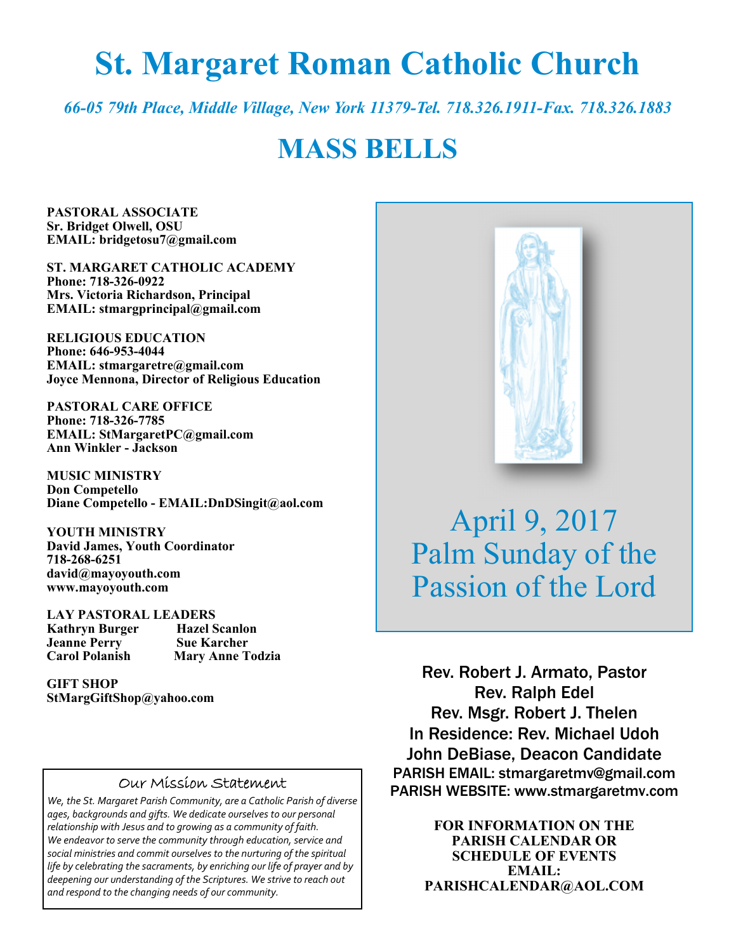# **St. Margaret Roman Catholic Church**

*66-05 79th Place, Middle Village, New York 11379-Tel. 718.326.1911-Fax. 718.326.1883* 

## **MASS BELLS**

**PASTORAL ASSOCIATE Sr. Bridget Olwell, OSU EMAIL: bridgetosu7@gmail.com** 

**ST. MARGARET CATHOLIC ACADEMY Phone: 718-326-0922 Mrs. Victoria Richardson, Principal EMAIL: stmargprincipal@gmail.com** 

**RELIGIOUS EDUCATION Phone: 646-953-4044 EMAIL: stmargaretre@gmail.com Joyce Mennona, Director of Religious Education** 

**PASTORAL CARE OFFICE Phone: 718-326-7785 EMAIL: StMargaretPC@gmail.com Ann Winkler - Jackson** 

**MUSIC MINISTRY Don Competello Diane Competello - EMAIL:DnDSingit@aol.com** 

**YOUTH MINISTRY David James, Youth Coordinator 718-268-6251 david@mayoyouth.com www.mayoyouth.com** 

**LAY PASTORAL LEADERS Kathryn Burger Hazel Scanlo**<br> **Jeanne Perry Sue Karcher Jeanne Perry Carol Polanish Mary Anne Todzia** 

**GIFT SHOP StMargGiftShop@yahoo.com**

#### Our Mission Statement

*We, the St. Margaret Parish Community, are a Catholic Parish of diverse ages, backgrounds and gifts. We dedicate ourselves to our personal relationship with Jesus and to growing as a community of faith. We endeavor to serve the community through education, service and social ministries and commit ourselves to the nurturing of the spiritual life by celebrating the sacraments, by enriching our life of prayer and by deepening our understanding of the Scriptures. We strive to reach out and respond to the changing needs of our community.*



April 9, 2017 Palm Sunday of the Passion of the Lord

Rev. Robert J. Armato, Pastor Rev. Ralph Edel Rev. Msgr. Robert J. Thelen In Residence: Rev. Michael Udoh John DeBiase, Deacon Candidate PARISH EMAIL: stmargaretmv@gmail.com PARISH WEBSITE: www.stmargaretmv.com

> **FOR INFORMATION ON THE PARISH CALENDAR OR SCHEDULE OF EVENTS EMAIL: PARISHCALENDAR@AOL.COM**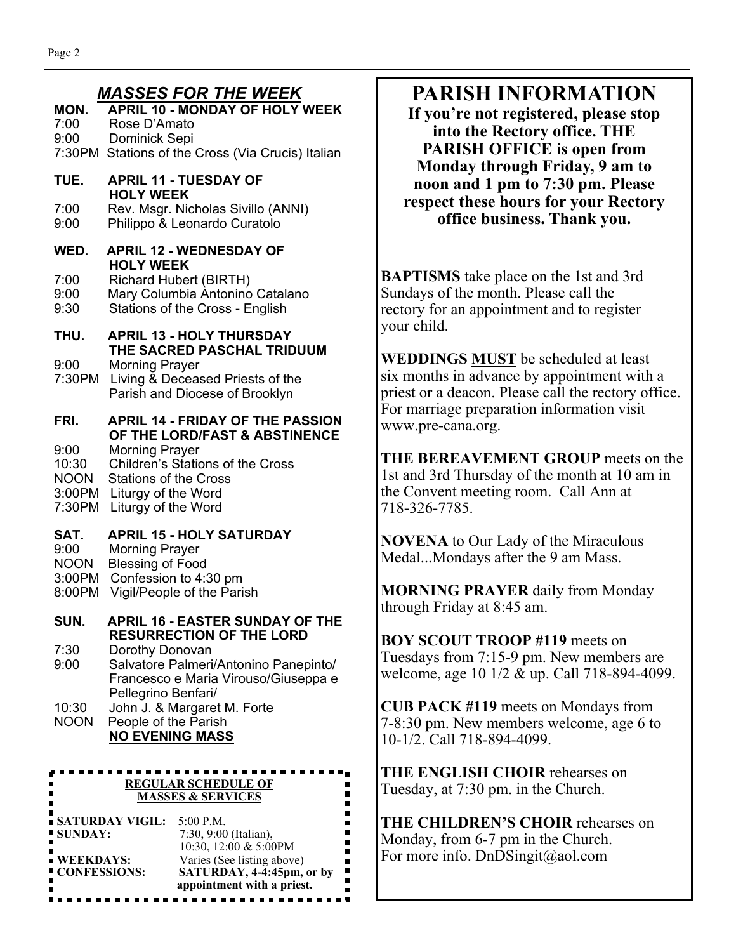#### *MASSES FOR THE WEEK*

**MON. APRIL 10 - MONDAY OF HOLY WEEK**  7:00 Rose D'Amato 9:00 Dominick Sepi 7:30PM Stations of the Cross (Via Crucis) Italian **TUE. APRIL 11 - TUESDAY OF HOLY WEEK**  7:00 Rev. Msgr. Nicholas Sivillo (ANNI) 9:00 Philippo & Leonardo Curatolo **WED. APRIL 12 - WEDNESDAY OF HOLY WEEK**  7:00 Richard Hubert (BIRTH) 9:00 Mary Columbia Antonino Catalano 9:30 Stations of the Cross - English **THU. APRIL 13 - HOLY THURSDAY THE SACRED PASCHAL TRIDUUM**  9:00 Morning Prayer 7:30PM Living & Deceased Priests of the Parish and Diocese of Brooklyn **FRI. APRIL 14 - FRIDAY OF THE PASSION OF THE LORD/FAST & ABSTINENCE**<br>9:00 Morning Praver Morning Prayer 10:30 Children's Stations of the Cross NOON Stations of the Cross 3:00PM Liturgy of the Word 7:30PM Liturgy of the Word **SAT. APRIL 15 - HOLY SATURDAY**  9:00 Morning Prayer<br>NOON Blessing of Food Blessing of Food 3:00PM Confession to 4:30 pm 8:00PM Vigil/People of the Parish **SUN. APRIL 16 - EASTER SUNDAY OF THE RESURRECTION OF THE LORD**<br>7:30 Dorothy Donovan Dorothy Donovan 9:00 Salvatore Palmeri/Antonino Panepinto/ Francesco e Maria Virouso/Giuseppa e Pellegrino Benfari/ 10:30 John J. & Margaret M. Forte NOON People of the Parish **NO EVENING MASS**  .................... **REGULAR SCHEDULE OF** 

| <b>MASSES &amp; SERVICES</b> |                            |
|------------------------------|----------------------------|
| ■ SATURDAY VIGIL:            | 5:00 P.M.                  |
| ■ SUNDAY:                    | 7:30, 9:00 (Italian),      |
|                              | 10:30, 12:00 & 5:00PM      |
| $\blacksquare$ WEEKDAYS:     | Varies (See listing above) |
| ■ CONFESSIONS:               | SATURDAY, 4-4:45pm, or by  |
|                              | appointment with a priest. |
|                              |                            |

## **PARISH INFORMATION**

**If you're not registered, please stop into the Rectory office. THE PARISH OFFICE is open from Monday through Friday, 9 am to noon and 1 pm to 7:30 pm. Please respect these hours for your Rectory office business. Thank you.** 

**BAPTISMS** take place on the 1st and 3rd Sundays of the month. Please call the rectory for an appointment and to register your child.

**WEDDINGS MUST** be scheduled at least six months in advance by appointment with a priest or a deacon. Please call the rectory office. For marriage preparation information visit www.pre-cana.org.

**THE BEREAVEMENT GROUP** meets on the 1st and 3rd Thursday of the month at 10 am in the Convent meeting room. Call Ann at 718-326-7785.

**NOVENA** to Our Lady of the Miraculous Medal...Mondays after the 9 am Mass.

**MORNING PRAYER** daily from Monday through Friday at 8:45 am.

**BOY SCOUT TROOP #119** meets on Tuesdays from 7:15-9 pm. New members are welcome, age 10 1/2 & up. Call 718-894-4099.

**CUB PACK #119** meets on Mondays from 7-8:30 pm. New members welcome, age 6 to 10-1/2. Call 718-894-4099.

**THE ENGLISH CHOIR** rehearses on Tuesday, at 7:30 pm. in the Church.

**THE CHILDREN'S CHOIR** rehearses on Monday, from 6-7 pm in the Church. For more info. DnDSingit@aol.com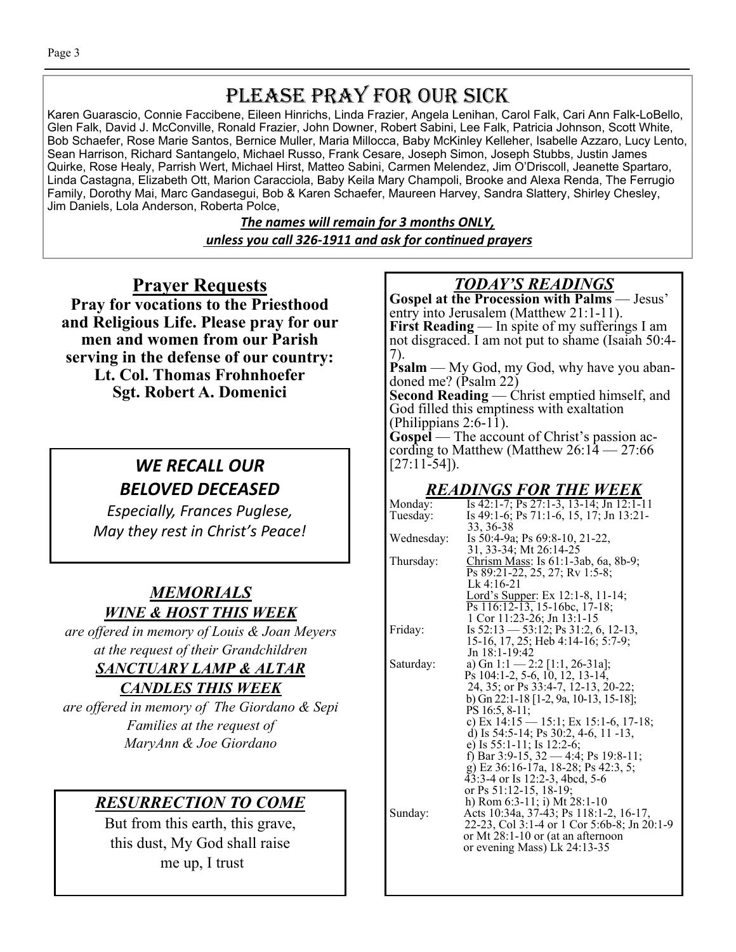## PLEASE PRAY FOR OUR SICK

Karen Guarascio, Connie Faccibene, Eileen Hinrichs, Linda Frazier, Angela Lenihan, Carol Falk, Cari Ann Falk-LoBello, Glen Falk, David J. McConville, Ronald Frazier, John Downer, Robert Sabini, Lee Falk, Patricia Johnson, Scott White, Bob Schaefer, Rose Marie Santos, Bernice Muller, Maria Millocca, Baby McKinley Kelleher, Isabelle Azzaro, Lucy Lento, Sean Harrison, Richard Santangelo, Michael Russo, Frank Cesare, Joseph Simon, Joseph Stubbs, Justin James Quirke, Rose Healy, Parrish Wert, Michael Hirst, Matteo Sabini, Carmen Melendez, Jim O'Driscoll, Jeanette Spartaro, Linda Castagna, Elizabeth Ott, Marion Caracciola, Baby Keila Mary Champoli, Brooke and Alexa Renda, The Ferrugio Family, Dorothy Mai, Marc Gandasegui, Bob & Karen Schaefer, Maureen Harvey, Sandra Slattery, Shirley Chesley, Jim Daniels, Lola Anderson, Roberta Polce,

> *The names will remain for 3 months ONLY, unless you call 326-1911 and ask for conƟnued prayers*

## **Prayer Requests**

**Pray for vocations to the Priesthood and Religious Life. Please pray for our men and women from our Parish serving in the defense of our country: Lt. Col. Thomas Frohnhoefer Sgt. Robert A. Domenici** 

## *WE RECALL OUR BELOVED DECEASED*

*Especially, Frances Puglese, May they rest in Christ's Peace!* 

#### *MEMORIALS WINE & HOST THIS WEEK*

*are offered in memory of Louis & Joan Meyers at the request of their Grandchildren SANCTUARY LAMP & ALTAR* 

## *CANDLES THIS WEEK*

*are offered in memory of The Giordano & Sepi Families at the request of MaryAnn & Joe Giordano* 

## *RESURRECTION TO COME*

But from this earth, this grave, this dust, My God shall raise me up, I trust

#### *TODAY'S READINGS*

**Gospel at the Procession with Palms** — Jesus' entry into Jerusalem (Matthew 21:1-11). **First Reading** — In spite of my sufferings I am not disgraced. I am not put to shame (Isaiah 50:4- 7).

**Psalm** — My God, my God, why have you abandoned me? (Psalm 22)

**Second Reading** — Christ emptied himself, and God filled this emptiness with exaltation (Philippians 2:6-11).

**Gospel** — The account of Christ's passion according to Matthew (Matthew 26:14 — 27:66  $[27:11-54]$ .

#### *READINGS FOR THE WEEK*

| Monday:    | Is 42:1-7; Ps 27:1-3, 13-14; Jn 12:1-11     |
|------------|---------------------------------------------|
| Tuesday:   | Is 49:1-6; Ps 71:1-6, 15, 17; Jn 13:21-     |
|            | 33, 36-38                                   |
| Wednesday: | Is 50:4-9a; Ps 69:8-10, 21-22,              |
|            | 31, 33-34; Mt 26:14-25                      |
| Thursday:  | Chrism Mass: Is 61:1-3ab, 6a, 8b-9;         |
|            | Ps 89:21-22, 25, 27; Rv 1:5-8;              |
|            | Lk $4:16-21$                                |
|            | Lord's Supper: Ex 12:1-8, 11-14;            |
|            | $\overline{Ps}$ 116:12-13, 15-16bc, 17-18;  |
|            | 1 Cor 11:23-26; Jn 13:1-15                  |
| Friday:    | Is $52:13 - 53:12$ ; Ps $31:2, 6, 12-13$ ,  |
|            | 15-16, 17, 25; Heb 4:14-16; 5:7-9;          |
|            | Jn 18:1-19:42                               |
| Saturday:  | a) Gn 1:1 - 2:2 [1:1, 26-31a];              |
|            | Ps 104:1-2, 5-6, 10, 12, 13-14,             |
|            | 24, 35; or Ps 33:4-7, 12-13, 20-22;         |
|            | b) Gn 22:1-18 [1-2, 9a, 10-13, 15-18];      |
|            | PS 16:5, 8-11;                              |
|            | c) Ex 14:15 – 15:1; Ex 15:1-6, 17-18;       |
|            | d) Is $54:5-14$ ; Ps $30:2, 4-6, 11-13$ ,   |
|            | e) Is 55:1-11; Is 12:2-6;                   |
|            | f) Bar 3:9-15, $32 - 4:4$ ; Ps 19:8-11;     |
|            | g) Ez 36:16-17a, 18-28; Ps 42:3, 5;         |
|            | 43:3-4 or Is 12:2-3, 4bcd, 5-6              |
|            | or Ps 51:12-15, 18-19;                      |
|            | h) Rom 6:3-11; i) Mt 28:1-10                |
| Sunday:    | Acts 10:34a, 37-43; Ps 118:1-2, 16-17,      |
|            | 22-23, Col 3:1-4 or 1 Cor 5:6b-8; Jn 20:1-9 |
|            | or Mt 28:1-10 or (at an afternoon           |
|            | or evening Mass) Lk 24:13-35                |
|            |                                             |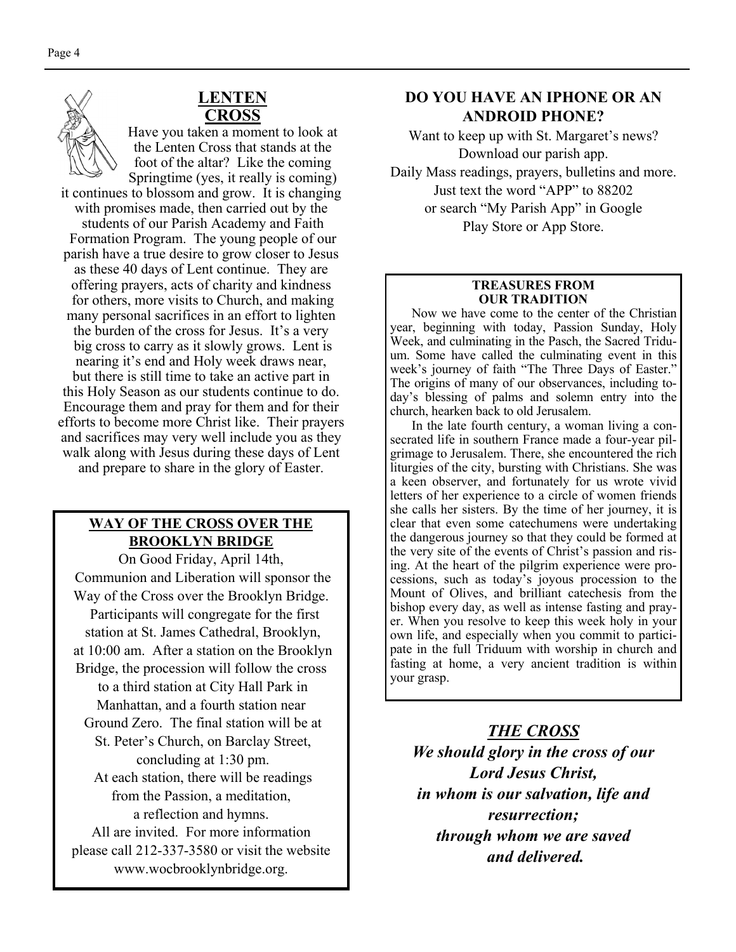#### **LENTEN CROSS**

Have you taken a moment to look at the Lenten Cross that stands at the foot of the altar? Like the coming Springtime (yes, it really is coming)

it continues to blossom and grow. It is changing with promises made, then carried out by the students of our Parish Academy and Faith Formation Program. The young people of our parish have a true desire to grow closer to Jesus as these 40 days of Lent continue. They are offering prayers, acts of charity and kindness for others, more visits to Church, and making many personal sacrifices in an effort to lighten the burden of the cross for Jesus. It's a very big cross to carry as it slowly grows. Lent is nearing it's end and Holy week draws near, but there is still time to take an active part in this Holy Season as our students continue to do. Encourage them and pray for them and for their efforts to become more Christ like. Their prayers and sacrifices may very well include you as they walk along with Jesus during these days of Lent and prepare to share in the glory of Easter.

#### **WAY OF THE CROSS OVER THE BROOKLYN BRIDGE**

On Good Friday, April 14th, Communion and Liberation will sponsor the Way of the Cross over the Brooklyn Bridge. Participants will congregate for the first station at St. James Cathedral, Brooklyn, at 10:00 am. After a station on the Brooklyn Bridge, the procession will follow the cross to a third station at City Hall Park in Manhattan, and a fourth station near Ground Zero. The final station will be at St. Peter's Church, on Barclay Street, concluding at 1:30 pm. At each station, there will be readings from the Passion, a meditation, a reflection and hymns. All are invited. For more information please call 212-337-3580 or visit the website www.wocbrooklynbridge.org.

#### **DO YOU HAVE AN IPHONE OR AN ANDROID PHONE?**

Want to keep up with St. Margaret's news? Download our parish app. Daily Mass readings, prayers, bulletins and more. Just text the word "APP" to 88202 or search "My Parish App" in Google Play Store or App Store.

#### **TREASURES FROM OUR TRADITION**

 Now we have come to the center of the Christian year, beginning with today, Passion Sunday, Holy Week, and culminating in the Pasch, the Sacred Triduum. Some have called the culminating event in this week's journey of faith "The Three Days of Easter." The origins of many of our observances, including today's blessing of palms and solemn entry into the church, hearken back to old Jerusalem.

 In the late fourth century, a woman living a consecrated life in southern France made a four-year pilgrimage to Jerusalem. There, she encountered the rich liturgies of the city, bursting with Christians. She was a keen observer, and fortunately for us wrote vivid letters of her experience to a circle of women friends she calls her sisters. By the time of her journey, it is clear that even some catechumens were undertaking the dangerous journey so that they could be formed at the very site of the events of Christ's passion and rising. At the heart of the pilgrim experience were processions, such as today's joyous procession to the Mount of Olives, and brilliant catechesis from the bishop every day, as well as intense fasting and prayer. When you resolve to keep this week holy in your own life, and especially when you commit to participate in the full Triduum with worship in church and fasting at home, a very ancient tradition is within your grasp.

*THE CROSS We should glory in the cross of our Lord Jesus Christ, in whom is our salvation, life and resurrection; through whom we are saved and delivered.*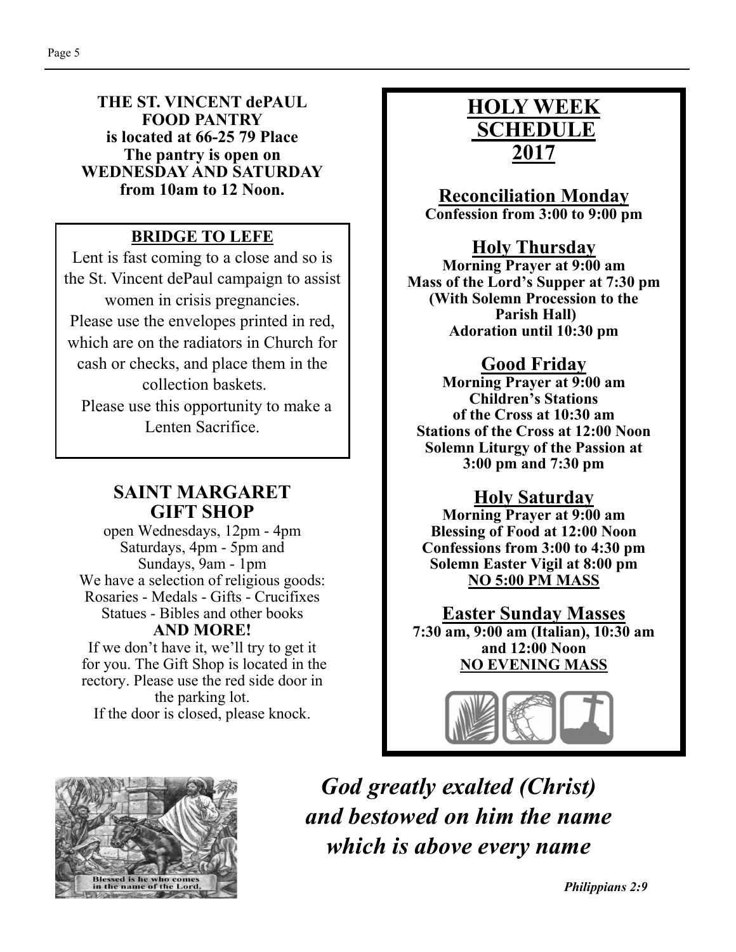#### **THE ST. VINCENT dePAUL FOOD PANTRY is located at 66-25 79 Place The pantry is open on WEDNESDAY AND SATURDAY from 10am to 12 Noon.**

## **BRIDGE TO LEFE**

Lent is fast coming to a close and so is the St. Vincent dePaul campaign to assist women in crisis pregnancies. Please use the envelopes printed in red, which are on the radiators in Church for cash or checks, and place them in the collection baskets. Please use this opportunity to make a

Lenten Sacrifice.

#### **SAINT MARGARET GIFT SHOP**

open Wednesdays, 12pm - 4pm Saturdays, 4pm - 5pm and Sundays, 9am - 1pm We have a selection of religious goods: Rosaries - Medals - Gifts - Crucifixes Statues - Bibles and other books **AND MORE!** 

If we don't have it, we'll try to get it for you. The Gift Shop is located in the rectory. Please use the red side door in the parking lot. If the door is closed, please knock.

## **HOLY WEEK SCHEDULE 2017**

**Reconciliation Monday Confession from 3:00 to 9:00 pm** 

## **Holy Thursday**

**Morning Prayer at 9:00 am Mass of the Lord's Supper at 7:30 pm (With Solemn Procession to the Parish Hall) Adoration until 10:30 pm** 

## **Good Friday**

**Morning Prayer at 9:00 am Children's Stations of the Cross at 10:30 am Stations of the Cross at 12:00 Noon Solemn Liturgy of the Passion at 3:00 pm and 7:30 pm** 

#### **Holy Saturday**

**Morning Prayer at 9:00 am Blessing of Food at 12:00 Noon Confessions from 3:00 to 4:30 pm Solemn Easter Vigil at 8:00 pm NO 5:00 PM MASS** 

**Easter Sunday Masses 7:30 am, 9:00 am (Italian), 10:30 am and 12:00 Noon NO EVENING MASS** 





*God greatly exalted (Christ) and bestowed on him the name which is above every name*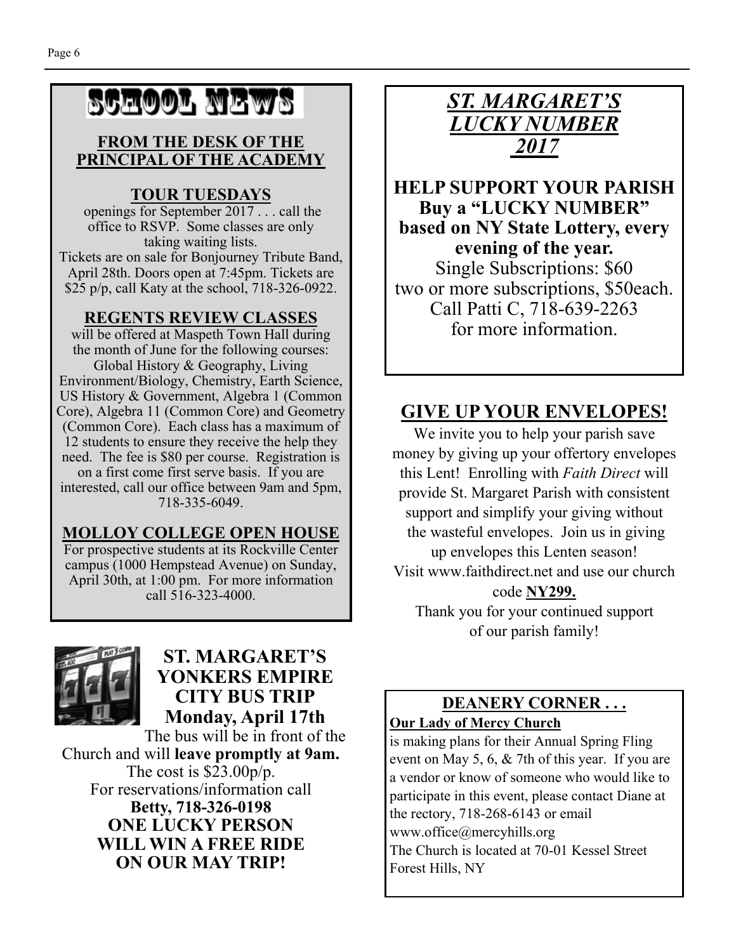# SCHOOL NEWS

#### **FROM THE DESK OF THE PRINCIPAL OF THE ACADEMY**

#### **TOUR TUESDAYS**

 openings for September 2017 . . . call the office to RSVP. Some classes are only taking waiting lists.

Tickets are on sale for Bonjourney Tribute Band, April 28th. Doors open at 7:45pm. Tickets are \$25 p/p, call Katy at the school, 718-326-0922.

#### **REGENTS REVIEW CLASSES**

will be offered at Maspeth Town Hall during the month of June for the following courses: Global History & Geography, Living Environment/Biology, Chemistry, Earth Science, US History & Government, Algebra 1 (Common Core), Algebra 11 (Common Core) and Geometry (Common Core). Each class has a maximum of 12 students to ensure they receive the help they need. The fee is \$80 per course. Registration is on a first come first serve basis. If you are interested, call our office between 9am and 5pm, 718-335-6049.

#### **MOLLOY COLLEGE OPEN HOUSE**

For prospective students at its Rockville Center campus (1000 Hempstead Avenue) on Sunday, April 30th, at 1:00 pm. For more information call 516-323-4000.



#### **ST. MARGARET'S YONKERS EMPIRE CITY BUS TRIP Monday, April 17th**

The bus will be in front of the Church and will **leave promptly at 9am.**  The cost is \$23.00p/p. For reservations/information call **Betty, 718-326-0198 ONE LUCKY PERSON WILL WIN A FREE RIDE ON OUR MAY TRIP!** 



**HELP SUPPORT YOUR PARISH Buy a "LUCKY NUMBER" based on NY State Lottery, every evening of the year.**  Single Subscriptions: \$60 two or more subscriptions, \$50each. Call Patti C, 718-639-2263 for more information.

## **GIVE UP YOUR ENVELOPES!**

We invite you to help your parish save money by giving up your offertory envelopes this Lent! Enrolling with *Faith Direct* will provide St. Margaret Parish with consistent support and simplify your giving without the wasteful envelopes. Join us in giving up envelopes this Lenten season!

Visit www.faithdirect.net and use our church

#### code **NY299.**

Thank you for your continued support of our parish family!

#### **DEANERY CORNER . . . Our Lady of Mercy Church**

is making plans for their Annual Spring Fling event on May 5, 6, & 7th of this year. If you are a vendor or know of someone who would like to participate in this event, please contact Diane at the rectory, 718-268-6143 or email www.office@mercyhills.org The Church is located at 70-01 Kessel Street Forest Hills, NY